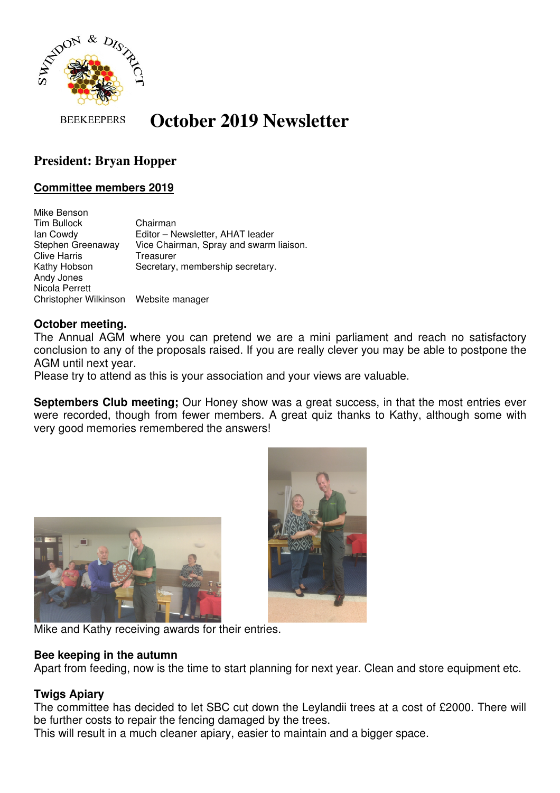

**BEEKEEPERS** 

# **October 2019 Newsletter**

# **President: Bryan Hopper**

## **Committee members 2019**

Mike Benson Tim Bullock Chairman Ian Cowdy Editor – Newsletter, AHAT leader Stephen Greenaway Vice Chairman, Spray and swarm liaison. Clive Harris Treasurer Kathy Hobson Secretary, membership secretary. Andy Jones Nicola Perrett Christopher Wilkinson Website manager

#### **October meeting.**

The Annual AGM where you can pretend we are a mini parliament and reach no satisfactory conclusion to any of the proposals raised. If you are really clever you may be able to postpone the AGM until next year.

Please try to attend as this is your association and your views are valuable.

**Septembers Club meeting;** Our Honey show was a great success, in that the most entries ever were recorded, though from fewer members. A great quiz thanks to Kathy, although some with very good memories remembered the answers!





Mike and Kathy receiving awards for their entries.

#### **Bee keeping in the autumn**

Apart from feeding, now is the time to start planning for next year. Clean and store equipment etc.

### **Twigs Apiary**

The committee has decided to let SBC cut down the Leylandii trees at a cost of £2000. There will be further costs to repair the fencing damaged by the trees.

This will result in a much cleaner apiary, easier to maintain and a bigger space.